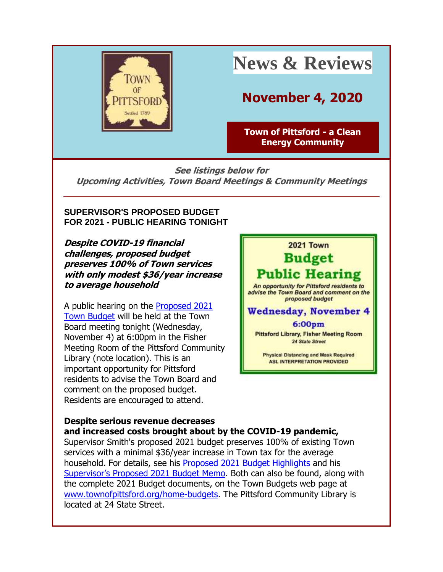

# **News & Reviews**

# **November 4, 2020**

**[Town of Pittsford -](http://r20.rs6.net/tn.jsp?f=001o_Pfrmcc3DSs6QvqnFjBgGeaKDMDJyk3ZfDWH7FdJr0OD-jzpYacr2qFiqqQhqlw0k5a4EolylWbXEP__FE577O6QhK4c3pguF-Wri5cdwvYwCGmHAfmffOwi9_4F0-YTa21ERsHmThpAjqAgyE2C2PobNQP7vOW&c=FLB-eKYhb7ptU4ft_ab4a78IasUpSzJh19QTEUbHNezijnmoVM9xJg==&ch=bjr1thG7nENb2J5tlApWF6JI4qFDFGhJg1ebk3TBFmRgrIP2lbZE1w==) a Clean [Energy Community](http://r20.rs6.net/tn.jsp?f=001o_Pfrmcc3DSs6QvqnFjBgGeaKDMDJyk3ZfDWH7FdJr0OD-jzpYacr2qFiqqQhqlw0k5a4EolylWbXEP__FE577O6QhK4c3pguF-Wri5cdwvYwCGmHAfmffOwi9_4F0-YTa21ERsHmThpAjqAgyE2C2PobNQP7vOW&c=FLB-eKYhb7ptU4ft_ab4a78IasUpSzJh19QTEUbHNezijnmoVM9xJg==&ch=bjr1thG7nENb2J5tlApWF6JI4qFDFGhJg1ebk3TBFmRgrIP2lbZE1w==)**

**See listings below for Upcoming Activities, Town Board Meetings & Community Meetings**

#### **SUPERVISOR'S PROPOSED BUDGET FOR 2021 - PUBLIC HEARING TONIGHT**

**Despite COVID-19 financial challenges, proposed budget preserves 100% of Town services with only modest \$36/year increase to average household**

A public hearing on the [Proposed 2021](http://r20.rs6.net/tn.jsp?f=001o_Pfrmcc3DSs6QvqnFjBgGeaKDMDJyk3ZfDWH7FdJr0OD-jzpYacr5U2tkzneTu1MVuIGqVE9_JxQn26VUen8KVpe07_nNi9M7d4sxpXlWZYyJ18cmCvtrIH5ZhYxggrkw7SrpX2cnH-JOz5ydu--vD6IU5ZUHVNadFMwTvOQzc=&c=FLB-eKYhb7ptU4ft_ab4a78IasUpSzJh19QTEUbHNezijnmoVM9xJg==&ch=bjr1thG7nENb2J5tlApWF6JI4qFDFGhJg1ebk3TBFmRgrIP2lbZE1w==)  [Town Budget](http://r20.rs6.net/tn.jsp?f=001o_Pfrmcc3DSs6QvqnFjBgGeaKDMDJyk3ZfDWH7FdJr0OD-jzpYacr5U2tkzneTu1MVuIGqVE9_JxQn26VUen8KVpe07_nNi9M7d4sxpXlWZYyJ18cmCvtrIH5ZhYxggrkw7SrpX2cnH-JOz5ydu--vD6IU5ZUHVNadFMwTvOQzc=&c=FLB-eKYhb7ptU4ft_ab4a78IasUpSzJh19QTEUbHNezijnmoVM9xJg==&ch=bjr1thG7nENb2J5tlApWF6JI4qFDFGhJg1ebk3TBFmRgrIP2lbZE1w==) will be held at the Town Board meeting tonight (Wednesday, November 4) at 6:00pm in the Fisher Meeting Room of the Pittsford Community Library (note location). This is an important opportunity for Pittsford residents to advise the Town Board and comment on the proposed budget. Residents are encouraged to attend.



#### **Despite serious revenue decreases and increased costs brought about by the COVID-19 pandemic,**

Supervisor Smith's proposed 2021 budget preserves 100% of existing Town services with a minimal \$36/year increase in Town tax for the average household. For details, see his [Proposed 2021 Budget Highlights](http://r20.rs6.net/tn.jsp?f=001o_Pfrmcc3DSs6QvqnFjBgGeaKDMDJyk3ZfDWH7FdJr0OD-jzpYacr4qKp7f0qnPAuOXCgWohxiZ8Jk-wQrbefK0L_EO9NzJfPxpluUv5Z5TTAPNQOcYWnfiiJkMLSsUn8w7JOPmCye8Mk3eXPQZ9e5NjwYSMUhidQBUmX4yA_mJ7TBwmCREcmBEtXGWoFVqarmBokEpcNOVFfDomSOUecyCXGzqdTfxF36RRcJJDPRh27ZXTxAgkHg==&c=FLB-eKYhb7ptU4ft_ab4a78IasUpSzJh19QTEUbHNezijnmoVM9xJg==&ch=bjr1thG7nENb2J5tlApWF6JI4qFDFGhJg1ebk3TBFmRgrIP2lbZE1w==) and his [Supervisor's Proposed 2021 Budget Memo](http://r20.rs6.net/tn.jsp?f=001o_Pfrmcc3DSs6QvqnFjBgGeaKDMDJyk3ZfDWH7FdJr0OD-jzpYacr4qKp7f0qnPArx9s54xE8n35U2qXKsI9Ins0cGr-h49QmRRMsbLCQQqmVDhr4QNFTsf0WMtv3KcwS5RwxIVStzzSe4RcievsmpIqFrAjvffg5Su5kC2AS75DVgxt0DDlQYPpSk4Nm_p48I31PwVXW5y96evPMwnwHB-PGPWxBZxXOsSzxIuuLgB-HfUdu7Mx7QuR5DJL-IYP&c=FLB-eKYhb7ptU4ft_ab4a78IasUpSzJh19QTEUbHNezijnmoVM9xJg==&ch=bjr1thG7nENb2J5tlApWF6JI4qFDFGhJg1ebk3TBFmRgrIP2lbZE1w==). Both can also be found, along with the complete 2021 Budget documents, on the Town Budgets web page at [www.townofpittsford.org/home-budgets.](http://r20.rs6.net/tn.jsp?f=001o_Pfrmcc3DSs6QvqnFjBgGeaKDMDJyk3ZfDWH7FdJr0OD-jzpYacrwM49Ft5FwCgqKWwiaR5BAvG1hxu-tapZR2Qi0xDF7UY7Bt4X5KpGx7JqQgT8ETIKNExOHe4qh3zWwTj6foGoQFvD985KGn1OMToad18vZZIEaDj50HPrlw=&c=FLB-eKYhb7ptU4ft_ab4a78IasUpSzJh19QTEUbHNezijnmoVM9xJg==&ch=bjr1thG7nENb2J5tlApWF6JI4qFDFGhJg1ebk3TBFmRgrIP2lbZE1w==) The Pittsford Community Library is located at 24 State Street.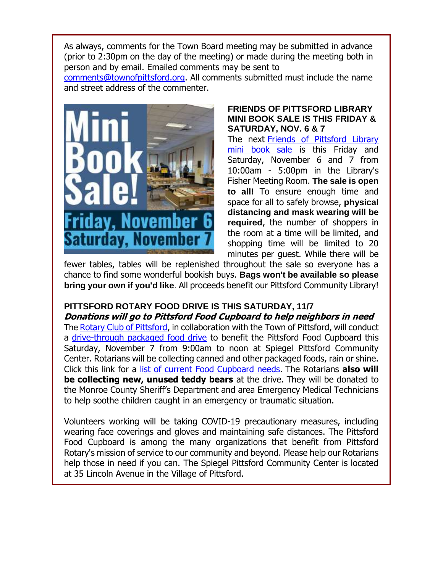As always, comments for the Town Board meeting may be submitted in advance (prior to 2:30pm on the day of the meeting) or made during the meeting both in person and by email. Emailed comments may be sent to

[comments@townofpittsford.org.](mailto:comments@townofpittsford.org) All comments submitted must include the name and street address of the commenter.



#### **FRIENDS OF PITTSFORD LIBRARY MINI BOOK SALE IS THIS FRIDAY & SATURDAY, NOV. 6 & 7**

The next [Friends of Pittsford Library](http://r20.rs6.net/tn.jsp?f=001o_Pfrmcc3DSs6QvqnFjBgGeaKDMDJyk3ZfDWH7FdJr0OD-jzpYacrwyHnkoGzIZv713QOTxOI1Cyn3JKME_J5WhNnzdt5opS5q82uagjbsY_4tIGHh7DG5BlDPaDDYR922qZwgl_ncniEa6_RqD8y9YuOyUybxI1&c=FLB-eKYhb7ptU4ft_ab4a78IasUpSzJh19QTEUbHNezijnmoVM9xJg==&ch=bjr1thG7nENb2J5tlApWF6JI4qFDFGhJg1ebk3TBFmRgrIP2lbZE1w==)  [mini book sale](http://r20.rs6.net/tn.jsp?f=001o_Pfrmcc3DSs6QvqnFjBgGeaKDMDJyk3ZfDWH7FdJr0OD-jzpYacrwyHnkoGzIZv713QOTxOI1Cyn3JKME_J5WhNnzdt5opS5q82uagjbsY_4tIGHh7DG5BlDPaDDYR922qZwgl_ncniEa6_RqD8y9YuOyUybxI1&c=FLB-eKYhb7ptU4ft_ab4a78IasUpSzJh19QTEUbHNezijnmoVM9xJg==&ch=bjr1thG7nENb2J5tlApWF6JI4qFDFGhJg1ebk3TBFmRgrIP2lbZE1w==) is this Friday and Saturday, November 6 and 7 from 10:00am - 5:00pm in the Library's Fisher Meeting Room. **The sale is open to all!** To ensure enough time and space for all to safely browse, **physical distancing and mask wearing will be required**, the number of shoppers in the room at a time will be limited, and shopping time will be limited to 20 minutes per guest. While there will be

fewer tables, tables will be replenished throughout the sale so everyone has a chance to find some wonderful bookish buys. **Bags won't be available so please bring your own if you'd like**. All proceeds benefit our Pittsford Community Library!

### **PITTSFORD ROTARY FOOD DRIVE IS THIS SATURDAY, 11/7 Donations will go to Pittsford Food Cupboard to help neighbors in need**

The [Rotary Club of Pittsford,](http://r20.rs6.net/tn.jsp?f=001o_Pfrmcc3DSs6QvqnFjBgGeaKDMDJyk3ZfDWH7FdJr0OD-jzpYacr26DyDv_LWABrkeO012p2loX10Y2PKySypIs56h71hcJFCHajQlrp3-BHIJ2jPHqLQzvfgqhfKe6NBxuQCbflMBW1D5IMEjT6QQnVPtRLsxs&c=FLB-eKYhb7ptU4ft_ab4a78IasUpSzJh19QTEUbHNezijnmoVM9xJg==&ch=bjr1thG7nENb2J5tlApWF6JI4qFDFGhJg1ebk3TBFmRgrIP2lbZE1w==) in collaboration with the Town of Pittsford, will conduct a [drive-through packaged food drive](http://r20.rs6.net/tn.jsp?f=001o_Pfrmcc3DSs6QvqnFjBgGeaKDMDJyk3ZfDWH7FdJr0OD-jzpYacr_oj-2jnqwqhbSm19XS23U64mWrLRLoE0sCsUgLPf7cOiTKxjBUs6LSEGEhhv7jlbaEmMzOEWI6ZQXXsF34lDedyz2sOS9lTkOM7_5Shg9xqyLjSfnWO-WZFlVkn4_dVO0rMMIOE4c6099Y66rfvyU7LLaowvvC4wXDI-QERuslBzbVrQ_sa0c90B7fSbskHpg==&c=FLB-eKYhb7ptU4ft_ab4a78IasUpSzJh19QTEUbHNezijnmoVM9xJg==&ch=bjr1thG7nENb2J5tlApWF6JI4qFDFGhJg1ebk3TBFmRgrIP2lbZE1w==) to benefit the Pittsford Food Cupboard this Saturday, November 7 from 9:00am to noon at Spiegel Pittsford Community Center. Rotarians will be collecting canned and other packaged foods, rain or shine. Click this link for a [list of current Food Cupboard needs.](http://r20.rs6.net/tn.jsp?f=001o_Pfrmcc3DSs6QvqnFjBgGeaKDMDJyk3ZfDWH7FdJr0OD-jzpYacr26DyDv_LWABO5arUviFYLSjFScfN8cgIDpuC6n5X9j8iglNJw0wjVDDgBGO-JYuxI36FtN9u4XOE0BFC44fgQlyECfCXvlA1OHjzLZ7jpitYoqta89vLCKFfMea4XoLm_usgvyo0yyX&c=FLB-eKYhb7ptU4ft_ab4a78IasUpSzJh19QTEUbHNezijnmoVM9xJg==&ch=bjr1thG7nENb2J5tlApWF6JI4qFDFGhJg1ebk3TBFmRgrIP2lbZE1w==) The Rotarians **also will be collecting new, unused teddy bears** at the drive. They will be donated to the Monroe County Sheriff's Department and area Emergency Medical Technicians to help soothe children caught in an emergency or traumatic situation.

Volunteers working will be taking COVID-19 precautionary measures, including wearing face coverings and gloves and maintaining safe distances. The Pittsford Food Cupboard is among the many organizations that benefit from Pittsford Rotary's mission of service to our community and beyond. Please help our Rotarians help those in need if you can. The Spiegel Pittsford Community Center is located at 35 Lincoln Avenue in the Village of Pittsford.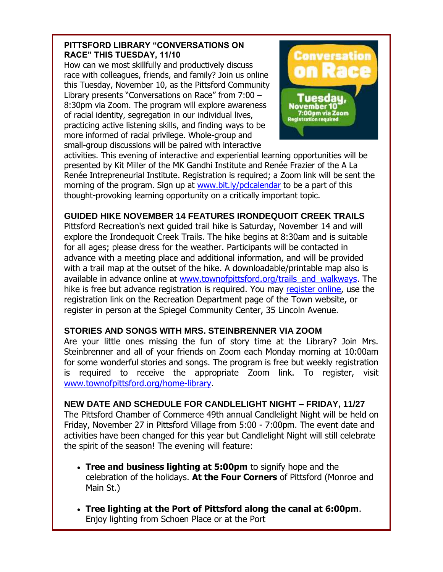#### **PITTSFORD LIBRARY "CONVERSATIONS ON RACE" THIS TUESDAY, 11/10**

How can we most skillfully and productively discuss race with colleagues, friends, and family? Join us online this Tuesday, November 10, as the Pittsford Community Library presents "Conversations on Race" from 7:00 – 8:30pm via Zoom. The program will explore awareness of racial identity, segregation in our individual lives, practicing active listening skills, and finding ways to be more informed of racial privilege. Whole-group and small-group discussions will be paired with interactive



activities. This evening of interactive and experiential learning opportunities will be presented by Kit Miller of the MK Gandhi Institute and Renée Frazier of the A La Renée Intrepreneurial Institute. Registration is required; a Zoom link will be sent the morning of the program. Sign up at [www.bit.ly/pclcalendar](http://r20.rs6.net/tn.jsp?f=001o_Pfrmcc3DSs6QvqnFjBgGeaKDMDJyk3ZfDWH7FdJr0OD-jzpYacr-p5NLKI6Sf5i9h5Wt-cII4Dt1YXo_0ZiatSRhmEWBf9b2B2LX3D1CVq2wJHnIepva8_fkoHw_zYPyJqPVsYkuxIsRXXhKzkYw==&c=FLB-eKYhb7ptU4ft_ab4a78IasUpSzJh19QTEUbHNezijnmoVM9xJg==&ch=bjr1thG7nENb2J5tlApWF6JI4qFDFGhJg1ebk3TBFmRgrIP2lbZE1w==) to be a part of this thought-provoking learning opportunity on a critically important topic.

### **GUIDED HIKE NOVEMBER 14 FEATURES IRONDEQUOIT CREEK TRAILS**

Pittsford Recreation's next guided trail hike is Saturday, November 14 and will explore the Irondequoit Creek Trails. The hike begins at 8:30am and is suitable for all ages; please dress for the weather. Participants will be contacted in advance with a meeting place and additional information, and will be provided with a trail map at the outset of the hike. A downloadable/printable map also is available in advance online at [www.townofpittsford.org/trails\\_and\\_walkways.](http://r20.rs6.net/tn.jsp?f=001o_Pfrmcc3DSs6QvqnFjBgGeaKDMDJyk3ZfDWH7FdJr0OD-jzpYacr4loeoX6Xh5fXoe44023-zB5MHyOzApi7FhA8WgkZSuc9rIwX04BfY6u_46R95nk9L05dGwDKWFJrOlucmwkDkZP8XVjXaVTWEicdxzC_1wxuXzAefSJMI4H5Ma4drj4og==&c=FLB-eKYhb7ptU4ft_ab4a78IasUpSzJh19QTEUbHNezijnmoVM9xJg==&ch=bjr1thG7nENb2J5tlApWF6JI4qFDFGhJg1ebk3TBFmRgrIP2lbZE1w==) The hike is free but advance registration is required. You may [register online,](http://r20.rs6.net/tn.jsp?f=001o_Pfrmcc3DSs6QvqnFjBgGeaKDMDJyk3ZfDWH7FdJr0OD-jzpYacr-p5NLKI6Sf557aENU161kGjAcPcydFC1eqVZ24WbCiPT9hf_sgbI5WQp0cQ2YX7geVj89iWUwxCeazeXn5r01Zt-rtH1KdNsgO3tj9ePsZGYUO-oQ-oOMBYoa5WbeotiXnze6PVSuHfub66eZqbFS_XndxPXfqXa3qqZijYbqearNsL07AvJNSxamq6ijdgRSPR9wr98baGXC_Py3j73uSQo1Tt2Nn7MAHZDcRcXcxGvypY0YKlmG1lSo4EVUaSfg==&c=FLB-eKYhb7ptU4ft_ab4a78IasUpSzJh19QTEUbHNezijnmoVM9xJg==&ch=bjr1thG7nENb2J5tlApWF6JI4qFDFGhJg1ebk3TBFmRgrIP2lbZE1w==) use the registration link on the Recreation Department page of the Town website, or register in person at the Spiegel Community Center, 35 Lincoln Avenue.

#### **STORIES AND SONGS WITH MRS. STEINBRENNER VIA ZOOM**

Are your little ones missing the fun of story time at the Library? Join Mrs. Steinbrenner and all of your friends on Zoom each Monday morning at 10:00am for some wonderful stories and songs. The program is free but weekly registration is required to receive the appropriate Zoom link. To register, visit [www.townofpittsford.org/home-library.](http://r20.rs6.net/tn.jsp?f=001o_Pfrmcc3DSs6QvqnFjBgGeaKDMDJyk3ZfDWH7FdJr0OD-jzpYacrznSBPpScRw0FnsNxBH8SwKtPHWPFOUI-PWuOTWRt8lZqPlATS4UQUveX_w1UXSF-6AKv3498JxpCDP1r3PunfHWPrvrt1BVTnpqIVqcI5I0BPlfKh5INGM=&c=FLB-eKYhb7ptU4ft_ab4a78IasUpSzJh19QTEUbHNezijnmoVM9xJg==&ch=bjr1thG7nENb2J5tlApWF6JI4qFDFGhJg1ebk3TBFmRgrIP2lbZE1w==)

### **NEW DATE AND SCHEDULE FOR CANDLELIGHT NIGHT – FRIDAY, 11/27**

The Pittsford Chamber of Commerce 49th annual Candlelight Night will be held on Friday, November 27 in Pittsford Village from 5:00 - 7:00pm. The event date and activities have been changed for this year but Candlelight Night will still celebrate the spirit of the season! The evening will feature:

- **Tree and business lighting at 5:00pm** to signify hope and the celebration of the holidays. **At the Four Corners** of Pittsford (Monroe and Main St.)
- **Tree lighting at the Port of Pittsford along the canal at 6:00pm**. Enjoy lighting from Schoen Place or at the Port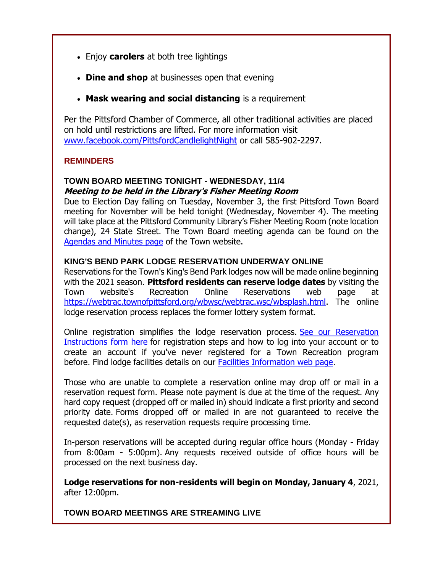- Enjoy **carolers** at both tree lightings
- **Dine and shop** at businesses open that evening
- **Mask wearing and social distancing** is a requirement

Per the Pittsford Chamber of Commerce, all other traditional activities are placed on hold until restrictions are lifted. For more information visit [www.facebook.com/PittsfordCandlelightNight](http://r20.rs6.net/tn.jsp?f=001o_Pfrmcc3DSs6QvqnFjBgGeaKDMDJyk3ZfDWH7FdJr0OD-jzpYacr-p5NLKI6Sf55vkBdKoGsb_Om_IBBXRQlD420X5ba1mdVRDmEyvpGqwhxGFtmLD6bGCaKlnq3C1R4fvwO89uJiCdVxp4wg3SnuAZDrgQuhUumrZCY4JPnBbFBwXjWv3FfA==&c=FLB-eKYhb7ptU4ft_ab4a78IasUpSzJh19QTEUbHNezijnmoVM9xJg==&ch=bjr1thG7nENb2J5tlApWF6JI4qFDFGhJg1ebk3TBFmRgrIP2lbZE1w==) or call 585-902-2297.

#### **REMINDERS**

#### **TOWN BOARD MEETING TONIGHT - WEDNESDAY, 11/4 Meeting to be held in the Library's Fisher Meeting Room**

Due to Election Day falling on Tuesday, November 3, the first Pittsford Town Board meeting for November will be held tonight (Wednesday, November 4). The meeting will take place at the Pittsford Community Library's Fisher Meeting Room (note location change), 24 State Street. The Town Board meeting agenda can be found on the [Agendas and Minutes page](http://r20.rs6.net/tn.jsp?f=001o_Pfrmcc3DSs6QvqnFjBgGeaKDMDJyk3ZfDWH7FdJr0OD-jzpYacr4ag2MJkXClT-3Bj18s5eaZv4_DAP4kJgUFf5f8c7ECyBK5I7KOZIRaMmsntXlvsImz48-dwBtjqcQNPcMXTQ0wp7AL_o5WE-II5g701QIAq1OYO2ud6AZ8=&c=FLB-eKYhb7ptU4ft_ab4a78IasUpSzJh19QTEUbHNezijnmoVM9xJg==&ch=bjr1thG7nENb2J5tlApWF6JI4qFDFGhJg1ebk3TBFmRgrIP2lbZE1w==) of the Town website.

#### **KING'S BEND PARK LODGE RESERVATION UNDERWAY ONLINE**

Reservations for the Town's King's Bend Park lodges now will be made online beginning with the 2021 season. **Pittsford residents can reserve lodge dates** by visiting the Town website's Recreation Online Reservations web page at [https://webtrac.townofpittsford.org/wbwsc/webtrac.wsc/wbsplash.html.](http://r20.rs6.net/tn.jsp?f=001o_Pfrmcc3DSs6QvqnFjBgGeaKDMDJyk3ZfDWH7FdJr0OD-jzpYacr-1YJva69syNplygiX26XuVm3rQMMVcbJZbTC3pqu1Yx5OKG7soPxGwGnf48CKiOLhN3t74DJhH51AYWjmEJAMxi0zIDZJJ39lzwNG0HiXid5pwywgxOfqBBKPpS9PLeI-9hsNQ9FIXw7-8Kwg8TisGB24iJwEuGaQ==&c=FLB-eKYhb7ptU4ft_ab4a78IasUpSzJh19QTEUbHNezijnmoVM9xJg==&ch=bjr1thG7nENb2J5tlApWF6JI4qFDFGhJg1ebk3TBFmRgrIP2lbZE1w==) The online lodge reservation process replaces the former lottery system format.

Online registration simplifies the lodge reservation process. [See our Reservation](http://r20.rs6.net/tn.jsp?f=001o_Pfrmcc3DSs6QvqnFjBgGeaKDMDJyk3ZfDWH7FdJr0OD-jzpYacr3iF9K_OCbOXEi2EiMW0F1ioY6QFUU1W7hk7DeDyhWJnYrv8qB_38rAfKdv-nuWW2niQ7ccBx3ojAvekVyxmlhuX0BZdvY1WAlPcVyuxhY4AFB7EM91sm8-PHTbb2Bf-3C6r-9h_ouECrWxHJrGscWHcVkWWa1Xp_ZQ3b4y8fsyyIV9myIXqBSs86e8NrhhOSal0_uq6ZIlF-3-nSJ-QaqY=&c=FLB-eKYhb7ptU4ft_ab4a78IasUpSzJh19QTEUbHNezijnmoVM9xJg==&ch=bjr1thG7nENb2J5tlApWF6JI4qFDFGhJg1ebk3TBFmRgrIP2lbZE1w==)  [Instructions form here](http://r20.rs6.net/tn.jsp?f=001o_Pfrmcc3DSs6QvqnFjBgGeaKDMDJyk3ZfDWH7FdJr0OD-jzpYacr3iF9K_OCbOXEi2EiMW0F1ioY6QFUU1W7hk7DeDyhWJnYrv8qB_38rAfKdv-nuWW2niQ7ccBx3ojAvekVyxmlhuX0BZdvY1WAlPcVyuxhY4AFB7EM91sm8-PHTbb2Bf-3C6r-9h_ouECrWxHJrGscWHcVkWWa1Xp_ZQ3b4y8fsyyIV9myIXqBSs86e8NrhhOSal0_uq6ZIlF-3-nSJ-QaqY=&c=FLB-eKYhb7ptU4ft_ab4a78IasUpSzJh19QTEUbHNezijnmoVM9xJg==&ch=bjr1thG7nENb2J5tlApWF6JI4qFDFGhJg1ebk3TBFmRgrIP2lbZE1w==) for registration steps and how to log into your account or to create an account if you've never registered for a Town Recreation program before. Find lodge facilities details on our [Facilities Information web page.](http://r20.rs6.net/tn.jsp?f=001o_Pfrmcc3DSs6QvqnFjBgGeaKDMDJyk3ZfDWH7FdJr0OD-jzpYacry5C3mfMhW5HDTRDLH8FN46Z6t3lE6sphIqLoEiJmNoZYowPmfzzAeTV_lHZ_wodfdQYJ0xRrFYLCU5Z68GUKG16GQR4PWdOrLi7eCViKLPT&c=FLB-eKYhb7ptU4ft_ab4a78IasUpSzJh19QTEUbHNezijnmoVM9xJg==&ch=bjr1thG7nENb2J5tlApWF6JI4qFDFGhJg1ebk3TBFmRgrIP2lbZE1w==)

Those who are unable to complete a reservation online may drop off or mail in a reservation request form. Please note payment is due at the time of the request. Any hard copy request (dropped off or mailed in) should indicate a first priority and second priority date. Forms dropped off or mailed in are not guaranteed to receive the requested date(s), as reservation requests require processing time.

In-person reservations will be accepted during regular office hours (Monday - Friday from 8:00am - 5:00pm). Any requests received outside of office hours will be processed on the next business day.

**Lodge reservations for non-residents will begin on Monday, January 4**, 2021, after 12:00pm.

**TOWN BOARD MEETINGS ARE STREAMING LIVE**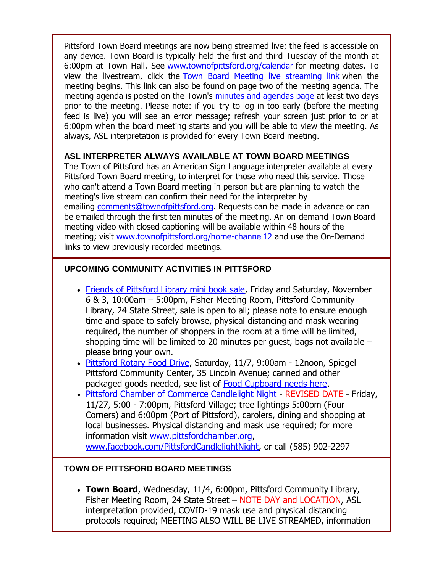Pittsford Town Board meetings are now being streamed live; the feed is accessible on any device. Town Board is typically held the first and third Tuesday of the month at 6:00pm at Town Hall. See [www.townofpittsford.org/calendar](http://r20.rs6.net/tn.jsp?f=001o_Pfrmcc3DSs6QvqnFjBgGeaKDMDJyk3ZfDWH7FdJr0OD-jzpYacr9ugAQUo6hMIMkjU0URKLhGRzbOlmVBW3vl887I7tydXHaEnI-KFxg8noaUPSs6ULIpWuajh-lsZzbQoXbmor8DV9lf7dwzsk3KjnP9beytoB2U6j7jC4Hk=&c=FLB-eKYhb7ptU4ft_ab4a78IasUpSzJh19QTEUbHNezijnmoVM9xJg==&ch=bjr1thG7nENb2J5tlApWF6JI4qFDFGhJg1ebk3TBFmRgrIP2lbZE1w==) for meeting dates. To view the livestream, click the [Town Board Meeting](http://r20.rs6.net/tn.jsp?f=001o_Pfrmcc3DSs6QvqnFjBgGeaKDMDJyk3ZfDWH7FdJr0OD-jzpYacr9ugAQUo6hMIxdau21c-16lOiXUJzUXDq4ykJkJQNgP4LX6CMlZUq3kws3MBjGmvcdX4RHKPcZit5vg897biufOtzuJMmkUiDZaT7v9tCGv_fqR2h25Zpp2AAAbqauT8x9rPLhyrfGk4IxcZSDFjs-N8Ett2IhPeuVXddM6rfPwmvkIp1twKv1uU6pMrHvJtXCO7fhTgXscYFM1VJMkBkHOehEx4eqhz7jM2fxJWAUOG3RhnIpufu8PJDwyE6T4jxdQ29eUd8aLg&c=FLB-eKYhb7ptU4ft_ab4a78IasUpSzJh19QTEUbHNezijnmoVM9xJg==&ch=bjr1thG7nENb2J5tlApWF6JI4qFDFGhJg1ebk3TBFmRgrIP2lbZE1w==) live streaming link when the meeting begins. This link can also be found on page two of the meeting agenda. The meeting agenda is posted on the Town's [minutes and agendas page](http://r20.rs6.net/tn.jsp?f=001o_Pfrmcc3DSs6QvqnFjBgGeaKDMDJyk3ZfDWH7FdJr0OD-jzpYacr4ag2MJkXClT-3Bj18s5eaZv4_DAP4kJgUFf5f8c7ECyBK5I7KOZIRaMmsntXlvsImz48-dwBtjqcQNPcMXTQ0wp7AL_o5WE-II5g701QIAq1OYO2ud6AZ8=&c=FLB-eKYhb7ptU4ft_ab4a78IasUpSzJh19QTEUbHNezijnmoVM9xJg==&ch=bjr1thG7nENb2J5tlApWF6JI4qFDFGhJg1ebk3TBFmRgrIP2lbZE1w==) at least two days prior to the meeting. Please note: if you try to log in too early (before the meeting feed is live) you will see an error message; refresh your screen just prior to or at 6:00pm when the board meeting starts and you will be able to view the meeting. As always, ASL interpretation is provided for every Town Board meeting.

#### **ASL INTERPRETER ALWAYS AVAILABLE AT TOWN BOARD MEETINGS**

The Town of Pittsford has an American Sign Language interpreter available at every Pittsford Town Board meeting, to interpret for those who need this service. Those who can't attend a Town Board meeting in person but are planning to watch the meeting's live stream can confirm their need for the interpreter by emailing [comments@townofpittsford.org.](mailto:comments@townofpittsford.org?subject=ASL%20interperter%20request%20for%20Town%20Board%20meeting) Requests can be made in advance or can be emailed through the first ten minutes of the meeting. An on-demand Town Board meeting video with closed captioning will be available within 48 hours of the meeting; visit [www.townofpittsford.org/home-channel12](http://r20.rs6.net/tn.jsp?f=001o_Pfrmcc3DSs6QvqnFjBgGeaKDMDJyk3ZfDWH7FdJr0OD-jzpYacry5C3mfMhW5HnZuaW1JezwER1sJ5x4W44GPj7Mz6Gs6f5zZqJvIcYrJL9hvZdzsBQzYcr2fSpsX1JTwvABjdMT2mF4ulChn9HX0zTCNvz1zUnO0-FxTAexM=&c=FLB-eKYhb7ptU4ft_ab4a78IasUpSzJh19QTEUbHNezijnmoVM9xJg==&ch=bjr1thG7nENb2J5tlApWF6JI4qFDFGhJg1ebk3TBFmRgrIP2lbZE1w==) and use the On-Demand links to view previously recorded meetings.

#### **UPCOMING COMMUNITY ACTIVITIES IN PITTSFORD**

- [Friends of Pittsford Library mini book sale,](http://r20.rs6.net/tn.jsp?f=001o_Pfrmcc3DSs6QvqnFjBgGeaKDMDJyk3ZfDWH7FdJr0OD-jzpYacrwyHnkoGzIZv713QOTxOI1Cyn3JKME_J5WhNnzdt5opS5q82uagjbsY_4tIGHh7DG5BlDPaDDYR922qZwgl_ncniEa6_RqD8y9YuOyUybxI1&c=FLB-eKYhb7ptU4ft_ab4a78IasUpSzJh19QTEUbHNezijnmoVM9xJg==&ch=bjr1thG7nENb2J5tlApWF6JI4qFDFGhJg1ebk3TBFmRgrIP2lbZE1w==) Friday and Saturday, November 6 & 3, 10:00am – 5:00pm, Fisher Meeting Room, Pittsford Community Library, 24 State Street, sale is open to all; please note to ensure enough time and space to safely browse, physical distancing and mask wearing required, the number of shoppers in the room at a time will be limited, shopping time will be limited to 20 minutes per guest, bags not available – please bring your own.
- [Pittsford Rotary Food Drive,](http://r20.rs6.net/tn.jsp?f=001o_Pfrmcc3DSs6QvqnFjBgGeaKDMDJyk3ZfDWH7FdJr0OD-jzpYacr_oj-2jnqwqhbSm19XS23U64mWrLRLoE0sCsUgLPf7cOiTKxjBUs6LSEGEhhv7jlbaEmMzOEWI6ZQXXsF34lDedyz2sOS9lTkOM7_5Shg9xqyLjSfnWO-WZFlVkn4_dVO0rMMIOE4c6099Y66rfvyU7LLaowvvC4wXDI-QERuslBzbVrQ_sa0c90B7fSbskHpg==&c=FLB-eKYhb7ptU4ft_ab4a78IasUpSzJh19QTEUbHNezijnmoVM9xJg==&ch=bjr1thG7nENb2J5tlApWF6JI4qFDFGhJg1ebk3TBFmRgrIP2lbZE1w==) Saturday, 11/7, 9:00am 12noon, Spiegel Pittsford Community Center, 35 Lincoln Avenue; canned and other packaged goods needed, see list of [Food Cupboard needs here.](http://r20.rs6.net/tn.jsp?f=001o_Pfrmcc3DSs6QvqnFjBgGeaKDMDJyk3ZfDWH7FdJr0OD-jzpYacr26DyDv_LWABO5arUviFYLSjFScfN8cgIDpuC6n5X9j8iglNJw0wjVDDgBGO-JYuxI36FtN9u4XOE0BFC44fgQlyECfCXvlA1OHjzLZ7jpitYoqta89vLCKFfMea4XoLm_usgvyo0yyX&c=FLB-eKYhb7ptU4ft_ab4a78IasUpSzJh19QTEUbHNezijnmoVM9xJg==&ch=bjr1thG7nENb2J5tlApWF6JI4qFDFGhJg1ebk3TBFmRgrIP2lbZE1w==)
- [Pittsford Chamber of Commerce Candlelight Night](http://r20.rs6.net/tn.jsp?f=001o_Pfrmcc3DSs6QvqnFjBgGeaKDMDJyk3ZfDWH7FdJr0OD-jzpYacr5XkcPKPR96zqkz9oIojzMc3pX4k5IJ3_B5PcYuOhv0QcTla9IJdAOHPdRgh85wrvx_V4ltD3D7I534HWp7iKLev6MPA4Y0Z3u9O27nUDj40&c=FLB-eKYhb7ptU4ft_ab4a78IasUpSzJh19QTEUbHNezijnmoVM9xJg==&ch=bjr1thG7nENb2J5tlApWF6JI4qFDFGhJg1ebk3TBFmRgrIP2lbZE1w==) REVISED DATE Friday, 11/27, 5:00 - 7:00pm, Pittsford Village; tree lightings 5:00pm (Four Corners) and 6:00pm (Port of Pittsford), carolers, dining and shopping at local businesses. Physical distancing and mask use required; for more information visit [www.pittsfordchamber.org,](http://r20.rs6.net/tn.jsp?f=001o_Pfrmcc3DSs6QvqnFjBgGeaKDMDJyk3ZfDWH7FdJr0OD-jzpYacr5XkcPKPR96zqkz9oIojzMc3pX4k5IJ3_B5PcYuOhv0QcTla9IJdAOHPdRgh85wrvx_V4ltD3D7I534HWp7iKLev6MPA4Y0Z3u9O27nUDj40&c=FLB-eKYhb7ptU4ft_ab4a78IasUpSzJh19QTEUbHNezijnmoVM9xJg==&ch=bjr1thG7nENb2J5tlApWF6JI4qFDFGhJg1ebk3TBFmRgrIP2lbZE1w==) [www.facebook.com/PittsfordCandlelightNight,](http://r20.rs6.net/tn.jsp?f=001o_Pfrmcc3DSs6QvqnFjBgGeaKDMDJyk3ZfDWH7FdJr0OD-jzpYacr-p5NLKI6Sf55vkBdKoGsb_Om_IBBXRQlD420X5ba1mdVRDmEyvpGqwhxGFtmLD6bGCaKlnq3C1R4fvwO89uJiCdVxp4wg3SnuAZDrgQuhUumrZCY4JPnBbFBwXjWv3FfA==&c=FLB-eKYhb7ptU4ft_ab4a78IasUpSzJh19QTEUbHNezijnmoVM9xJg==&ch=bjr1thG7nENb2J5tlApWF6JI4qFDFGhJg1ebk3TBFmRgrIP2lbZE1w==) or call (585) 902-2297

#### **TOWN OF PITTSFORD BOARD MEETINGS**

 **Town Board**, Wednesday, 11/4, 6:00pm, Pittsford Community Library, Fisher Meeting Room, 24 State Street – NOTE DAY and LOCATION, ASL interpretation provided, COVID-19 mask use and physical distancing protocols required; MEETING ALSO WILL BE LIVE STREAMED, information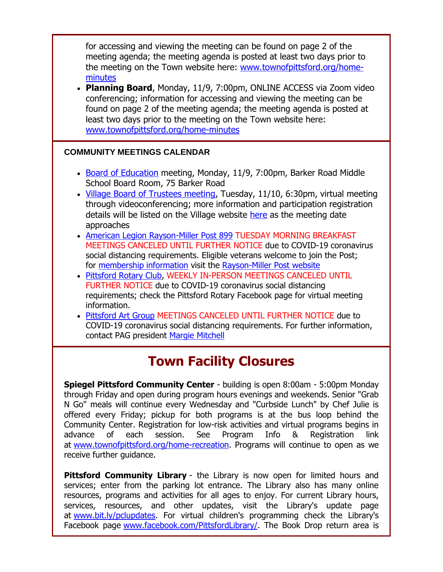for accessing and viewing the meeting can be found on page 2 of the meeting agenda; the meeting agenda is posted at least two days prior to the meeting on the Town website here: [www.townofpittsford.org/home](http://r20.rs6.net/tn.jsp?f=001o_Pfrmcc3DSs6QvqnFjBgGeaKDMDJyk3ZfDWH7FdJr0OD-jzpYacr-1YJva69syNvTyomVIv_rMojGoo_v87v1WEmCDNvOs_Fv3aiBw4TNDtGPUtXQ03qUWzak_aWUaLJWKbXdvExelM3aRlXBP87Of-nQ93TDG3zWjS3eUwgfY=&c=FLB-eKYhb7ptU4ft_ab4a78IasUpSzJh19QTEUbHNezijnmoVM9xJg==&ch=bjr1thG7nENb2J5tlApWF6JI4qFDFGhJg1ebk3TBFmRgrIP2lbZE1w==)[minutes](http://r20.rs6.net/tn.jsp?f=001o_Pfrmcc3DSs6QvqnFjBgGeaKDMDJyk3ZfDWH7FdJr0OD-jzpYacr-1YJva69syNvTyomVIv_rMojGoo_v87v1WEmCDNvOs_Fv3aiBw4TNDtGPUtXQ03qUWzak_aWUaLJWKbXdvExelM3aRlXBP87Of-nQ93TDG3zWjS3eUwgfY=&c=FLB-eKYhb7ptU4ft_ab4a78IasUpSzJh19QTEUbHNezijnmoVM9xJg==&ch=bjr1thG7nENb2J5tlApWF6JI4qFDFGhJg1ebk3TBFmRgrIP2lbZE1w==)

 **Planning Board**, Monday, 11/9, 7:00pm, ONLINE ACCESS via Zoom video conferencing; information for accessing and viewing the meeting can be found on page 2 of the meeting agenda; the meeting agenda is posted at least two days prior to the meeting on the Town website here: [www.townofpittsford.org/home-minutes](http://r20.rs6.net/tn.jsp?f=001o_Pfrmcc3DSs6QvqnFjBgGeaKDMDJyk3ZfDWH7FdJr0OD-jzpYacr-1YJva69syNvTyomVIv_rMojGoo_v87v1WEmCDNvOs_Fv3aiBw4TNDtGPUtXQ03qUWzak_aWUaLJWKbXdvExelM3aRlXBP87Of-nQ93TDG3zWjS3eUwgfY=&c=FLB-eKYhb7ptU4ft_ab4a78IasUpSzJh19QTEUbHNezijnmoVM9xJg==&ch=bjr1thG7nENb2J5tlApWF6JI4qFDFGhJg1ebk3TBFmRgrIP2lbZE1w==)

#### **COMMUNITY MEETINGS CALENDAR**

- [Board of Education](http://r20.rs6.net/tn.jsp?f=001o_Pfrmcc3DSs6QvqnFjBgGeaKDMDJyk3ZfDWH7FdJr0OD-jzpYacr4VKAHN0Kiavl9IjqLXUGCn8vIbjCGitO635Ehu77AdnHs-RD1ZTKDZ5qpcM-xYuKfVk22f-VDtjq3R4ZH3BqxgUfIOiqL6V8oIJVOidiXADPzSiErBpIl1iJiVjlhyP4OGrV5GqS31-qWAoGmfNuPXheyFlaaOiS2J2SBxBo1J8uF3abSGlKNL7eYl-dHuxhuzc8NBrzSaUyHRzFYn8fAs=&c=FLB-eKYhb7ptU4ft_ab4a78IasUpSzJh19QTEUbHNezijnmoVM9xJg==&ch=bjr1thG7nENb2J5tlApWF6JI4qFDFGhJg1ebk3TBFmRgrIP2lbZE1w==) meeting, Monday, 11/9, 7:00pm, Barker Road Middle School Board Room, 75 Barker Road
- [Village Board of Trustees meeting,](http://r20.rs6.net/tn.jsp?f=001o_Pfrmcc3DSs6QvqnFjBgGeaKDMDJyk3ZfDWH7FdJr0OD-jzpYacr-p5NLKI6Sf5URcbfNa5jnbODj0Kqltoh0RWJYquoANyzTLwrFQ2ysxGprGrIgMY9EuyeDZ46pvlbDPrYuoDjmVRdlD2cuo2c3XFneDpMirTkQRXhDseSFcv0_2srrleZYD3kSH2fXI7c0yBcrHx37YR3x7GCP9HT1K6KrgVQVus7ahXTz9dfyn1EmKYg11uFquDORIst1eETAhJb_KfXCG21NDwU4BlaIqeBUbsCGY9&c=FLB-eKYhb7ptU4ft_ab4a78IasUpSzJh19QTEUbHNezijnmoVM9xJg==&ch=bjr1thG7nENb2J5tlApWF6JI4qFDFGhJg1ebk3TBFmRgrIP2lbZE1w==) Tuesday, 11/10, 6:30pm, virtual meeting through videoconferencing; more information and participation registration details will be listed on the Village website [here](http://r20.rs6.net/tn.jsp?f=001o_Pfrmcc3DSs6QvqnFjBgGeaKDMDJyk3ZfDWH7FdJr0OD-jzpYacr-p5NLKI6Sf5URcbfNa5jnbODj0Kqltoh0RWJYquoANyzTLwrFQ2ysxGprGrIgMY9EuyeDZ46pvlbDPrYuoDjmVRdlD2cuo2c3XFneDpMirTkQRXhDseSFcv0_2srrleZYD3kSH2fXI7c0yBcrHx37YR3x7GCP9HT1K6KrgVQVus7ahXTz9dfyn1EmKYg11uFquDORIst1eETAhJb_KfXCG21NDwU4BlaIqeBUbsCGY9&c=FLB-eKYhb7ptU4ft_ab4a78IasUpSzJh19QTEUbHNezijnmoVM9xJg==&ch=bjr1thG7nENb2J5tlApWF6JI4qFDFGhJg1ebk3TBFmRgrIP2lbZE1w==) as the meeting date approaches
- [American Legion Rayson-Miller Post 899](http://r20.rs6.net/tn.jsp?f=001o_Pfrmcc3DSs6QvqnFjBgGeaKDMDJyk3ZfDWH7FdJr0OD-jzpYacrwyHnkoGzIZvrPvgIMSlNeaiHCKq1WgoxetBqItXgvuF5viJjgstwDhXvM5OB2LutadEV3x4L68BMr0N2CjVtSe_-EUn9siIjFtx9GUlRLWS&c=FLB-eKYhb7ptU4ft_ab4a78IasUpSzJh19QTEUbHNezijnmoVM9xJg==&ch=bjr1thG7nENb2J5tlApWF6JI4qFDFGhJg1ebk3TBFmRgrIP2lbZE1w==) TUESDAY MORNING BREAKFAST MEETINGS CANCELED UNTIL FURTHER NOTICE due to COVID-19 coronavirus social distancing requirements. Eligible veterans welcome to join the Post; for [membership information](http://r20.rs6.net/tn.jsp?f=001o_Pfrmcc3DSs6QvqnFjBgGeaKDMDJyk3ZfDWH7FdJr0OD-jzpYacrwyHnkoGzIZvNxPbCiAgeM6q9htzUqYkGENAT-8zyZ0RjHBilosoz3Ly24eD2iTrHL0Yil4wzjLmxxHgkp_CljzkOpZKbOh-paqWl41UpALOkR1-WCB4orLP3rskR4t3DNE6lshvhSF8&c=FLB-eKYhb7ptU4ft_ab4a78IasUpSzJh19QTEUbHNezijnmoVM9xJg==&ch=bjr1thG7nENb2J5tlApWF6JI4qFDFGhJg1ebk3TBFmRgrIP2lbZE1w==) visit the [Rayson-Miller Post website](http://r20.rs6.net/tn.jsp?f=001o_Pfrmcc3DSs6QvqnFjBgGeaKDMDJyk3ZfDWH7FdJr0OD-jzpYacrynjBgn25CuGjAq7yy7zG5bWomELgMroXRSAxF5-jPSMWiwVMSb2pFga1w77kCwg2-PIc10UXWhWOvE8ShqEt7pwYojv7DpSBMW3ms2_rgxZ_7Aijc6-ehpIm3nXKQ8jy05jPVbYrEShtwDW98wYsYYmlPmDReX_AN_OfO73l_Yn0Krtm7jF0jskhea7QI6_iCEUQ6PmjY3_&c=FLB-eKYhb7ptU4ft_ab4a78IasUpSzJh19QTEUbHNezijnmoVM9xJg==&ch=bjr1thG7nENb2J5tlApWF6JI4qFDFGhJg1ebk3TBFmRgrIP2lbZE1w==)
- [Pittsford Rotary Club,](http://r20.rs6.net/tn.jsp?f=001o_Pfrmcc3DSs6QvqnFjBgGeaKDMDJyk3ZfDWH7FdJr0OD-jzpYacr-1YJva69syNQwsZZgwdQEa8mx8oMJ-bZk8GrqdG-GmJVytC-J4nfE5QxnLkRFEFlqEnavhcn_Mjqe09KII2inxbMhK4jSxlkk6M69Kmx3-O&c=FLB-eKYhb7ptU4ft_ab4a78IasUpSzJh19QTEUbHNezijnmoVM9xJg==&ch=bjr1thG7nENb2J5tlApWF6JI4qFDFGhJg1ebk3TBFmRgrIP2lbZE1w==) WEEKLY IN-PERSON MEETINGS CANCELED UNTIL FURTHER NOTICE due to COVID-19 coronavirus social distancing requirements; check the Pittsford Rotary Facebook page for virtual meeting information.
- [Pittsford Art Group](http://r20.rs6.net/tn.jsp?f=001o_Pfrmcc3DSs6QvqnFjBgGeaKDMDJyk3ZfDWH7FdJr0OD-jzpYacr4qKp7f0qnPAqn1qHMUArY1HJocpuYBwrFxSdAW3CwB7P4RULhltUaRx2f2QIM9WqJbDdcKM1P-OUjJpvukPzFbLdVEmw5wS7_9pJuUDA285YzoX3vh_rzs=&c=FLB-eKYhb7ptU4ft_ab4a78IasUpSzJh19QTEUbHNezijnmoVM9xJg==&ch=bjr1thG7nENb2J5tlApWF6JI4qFDFGhJg1ebk3TBFmRgrIP2lbZE1w==) MEETINGS CANCELED UNTIL FURTHER NOTICE due to COVID-19 coronavirus social distancing requirements. For further information, contact PAG president [Margie Mitchell](mailto:mhsmitchell@gmail.com?subject=Pittsford%20Art%20Group%20Meetings%20and%20Membership)

# **Town Facility Closures**

**Spiegel Pittsford Community Center** - building is open 8:00am - 5:00pm Monday through Friday and open during program hours evenings and weekends. Senior "Grab N Go" meals will continue every Wednesday and "Curbside Lunch" by Chef Julie is offered every Friday; pickup for both programs is at the bus loop behind the Community Center. Registration for low-risk activities and virtual programs begins in advance of each session. See Program Info & Registration link at [www.townofpittsford.org/home-recreation.](http://r20.rs6.net/tn.jsp?f=001o_Pfrmcc3DSs6QvqnFjBgGeaKDMDJyk3ZfDWH7FdJr0OD-jzpYacr2M4y7JbQDe0k48V-LHtrCkIscM8mUtqLpESac0iSA-EKLF9sLiCwWIjIocX05WbPKRxrVGRnun8dW-98tmSTXJnXHbFAdl7XURh5UQAV_TP7vUroB_T1R6XopbVW1iCzQ==&c=FLB-eKYhb7ptU4ft_ab4a78IasUpSzJh19QTEUbHNezijnmoVM9xJg==&ch=bjr1thG7nENb2J5tlApWF6JI4qFDFGhJg1ebk3TBFmRgrIP2lbZE1w==) Programs will continue to open as we receive further guidance.

**Pittsford Community Library** - the Library is now open for limited hours and services; enter from the parking lot entrance. The Library also has many online resources, programs and activities for all ages to enjoy. For current Library hours, services, resources, and other updates, visit the Library's update page at [www.bit.ly/pclupdates.](http://r20.rs6.net/tn.jsp?f=001o_Pfrmcc3DSs6QvqnFjBgGeaKDMDJyk3ZfDWH7FdJr0OD-jzpYacr_oj-2jnqwqhm5yiVNeNMNegdB8mq3xfD9uzqCKyUMR8bFcPpMj1Rra_ThNNcYFnqtCc59kFeVajFWn7ZRO3XFktQQRm6RX1-g==&c=FLB-eKYhb7ptU4ft_ab4a78IasUpSzJh19QTEUbHNezijnmoVM9xJg==&ch=bjr1thG7nENb2J5tlApWF6JI4qFDFGhJg1ebk3TBFmRgrIP2lbZE1w==) For virtual children's programming check the Library's Facebook page [www.facebook.com/PittsfordLibrary/.](http://r20.rs6.net/tn.jsp?f=001o_Pfrmcc3DSs6QvqnFjBgGeaKDMDJyk3ZfDWH7FdJr0OD-jzpYacr3JPlohgRub76cAL3EPHMdaEvMZOVJ-KxWmiZnc6un_CjJqpTVLtVDb36B_gj0o1mphR_AwhontXb2aoRBp7kHpDq6RappV9IwwYcnnFMUGnqHS7TvI3bbY=&c=FLB-eKYhb7ptU4ft_ab4a78IasUpSzJh19QTEUbHNezijnmoVM9xJg==&ch=bjr1thG7nENb2J5tlApWF6JI4qFDFGhJg1ebk3TBFmRgrIP2lbZE1w==) The Book Drop return area is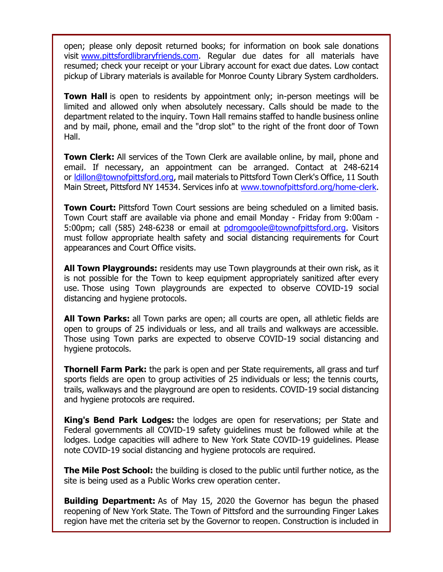open; please only deposit returned books; for information on book sale donations visit [www.pittsfordlibraryfriends.com.](http://r20.rs6.net/tn.jsp?f=001o_Pfrmcc3DSs6QvqnFjBgGeaKDMDJyk3ZfDWH7FdJr0OD-jzpYacrzcQuF31GwOkeVTEqouoTGDumcyMW0zjGm1eSuaC60yhkat03_dIsuSfxXU4OgMFVOrCU3ADuC3SAg9BXx2YfiJiTkxTG9VOcM6ltEZ_AF0kC339SBxxxv0=&c=FLB-eKYhb7ptU4ft_ab4a78IasUpSzJh19QTEUbHNezijnmoVM9xJg==&ch=bjr1thG7nENb2J5tlApWF6JI4qFDFGhJg1ebk3TBFmRgrIP2lbZE1w==) Regular due dates for all materials have resumed; check your receipt or your Library account for exact due dates. Low contact pickup of Library materials is available for Monroe County Library System cardholders.

**Town Hall** is open to residents by appointment only; in-person meetings will be limited and allowed only when absolutely necessary. Calls should be made to the department related to the inquiry. Town Hall remains staffed to handle business online and by mail, phone, email and the "drop slot" to the right of the front door of Town Hall.

**Town Clerk:** All services of the Town Clerk are available online, by mail, phone and email. If necessary, an appointment can be arranged. Contact at 248-6214 or [ldillon@townofpittsford.org,](mailto:ldillon@townofpittsford.org) mail materials to Pittsford Town Clerk's Office, 11 South Main Street, Pittsford NY 14534. Services info at [www.townofpittsford.org/home-clerk.](http://r20.rs6.net/tn.jsp?f=001o_Pfrmcc3DSs6QvqnFjBgGeaKDMDJyk3ZfDWH7FdJr0OD-jzpYacr6Y_0ECMcqMnxWTjadJEUUST-ErKmg0YF0xyQoO7bfk1aHMOVB1f1xaUa3a72oWE70pRPDqbqY8BUZh3s0x8nPsF6IqymrJ1xD13V4-HNplFchdbkaLT9uQ=&c=FLB-eKYhb7ptU4ft_ab4a78IasUpSzJh19QTEUbHNezijnmoVM9xJg==&ch=bjr1thG7nENb2J5tlApWF6JI4qFDFGhJg1ebk3TBFmRgrIP2lbZE1w==)

**Town Court:** Pittsford Town Court sessions are being scheduled on a limited basis. Town Court staff are available via phone and email Monday - Friday from 9:00am 5:00pm; call (585) 248-6238 or email at [pdromgoole@townofpittsford.org.](mailto:pdromgoole@townofpittsford.org) Visitors must follow appropriate health safety and social distancing requirements for Court appearances and Court Office visits.

**All Town Playgrounds:** residents may use Town playgrounds at their own risk, as it is not possible for the Town to keep equipment appropriately sanitized after every use. Those using Town playgrounds are expected to observe COVID-19 social distancing and hygiene protocols.

**All Town Parks:** all Town parks are open; all courts are open, all athletic fields are open to groups of 25 individuals or less, and all trails and walkways are accessible. Those using Town parks are expected to observe COVID-19 social distancing and hygiene protocols.

**Thornell Farm Park:** the park is open and per State requirements, all grass and turf sports fields are open to group activities of 25 individuals or less; the tennis courts, trails, walkways and the playground are open to residents. COVID-19 social distancing and hygiene protocols are required.

**King's Bend Park Lodges:** the lodges are open for reservations; per State and Federal governments all COVID-19 safety guidelines must be followed while at the lodges. Lodge capacities will adhere to New York State COVID-19 guidelines. Please note COVID-19 social distancing and hygiene protocols are required.

**The Mile Post School:** the building is closed to the public until further notice, as the site is being used as a Public Works crew operation center.

**Building Department:** As of May 15, 2020 the Governor has begun the phased reopening of New York State. The Town of Pittsford and the surrounding Finger Lakes region have met the criteria set by the Governor to reopen. Construction is included in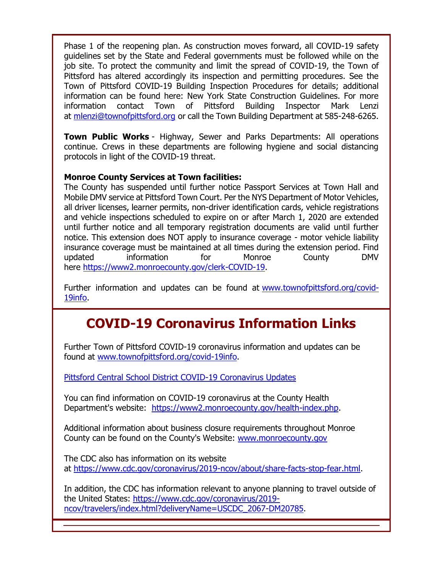Phase 1 of the reopening plan. As construction moves forward, all COVID-19 safety guidelines set by the State and Federal governments must be followed while on the job site. To protect the community and limit the spread of COVID-19, the Town of Pittsford has altered accordingly its inspection and permitting procedures. See the Town of Pittsford COVID-19 Building Inspection Procedures for details; additional information can be found here: New York State Construction Guidelines. For more information contact Town of Pittsford Building Inspector Mark Lenzi at [mlenzi@townofpittsford.org](mailto:mlenzi@townofpittsford.org?subject=COVID-19%20Construciton%20Information) or call the Town Building Department at 585-248-6265.

**Town Public Works** - Highway, Sewer and Parks Departments: All operations continue. Crews in these departments are following hygiene and social distancing protocols in light of the COVID-19 threat.

#### **Monroe County Services at Town facilities:**

The County has suspended until further notice Passport Services at Town Hall and Mobile DMV service at Pittsford Town Court. Per the NYS Department of Motor Vehicles, all driver licenses, learner permits, non-driver identification cards, vehicle registrations and vehicle inspections scheduled to expire on or after March 1, 2020 are extended until further notice and all temporary registration documents are valid until further notice. This extension does NOT apply to insurance coverage - motor vehicle liability insurance coverage must be maintained at all times during the extension period. Find updated information for Monroe County DMV here [https://www2.monroecounty.gov/clerk-COVID-19.](http://r20.rs6.net/tn.jsp?f=001o_Pfrmcc3DSs6QvqnFjBgGeaKDMDJyk3ZfDWH7FdJr0OD-jzpYacr48Fd8FlfVkRfPxG7Ie4307jpNuho5AzkyM1Zu7z2yz4SHFzHqX-N5k02Wbt6B_ijkHr-pTdKn8go_sYF-JWC8RVDB0snK4ivkEenweORYi3bs_C0bvG9Bs=&c=FLB-eKYhb7ptU4ft_ab4a78IasUpSzJh19QTEUbHNezijnmoVM9xJg==&ch=bjr1thG7nENb2J5tlApWF6JI4qFDFGhJg1ebk3TBFmRgrIP2lbZE1w==)

Further information and updates can be found at [www.townofpittsford.org/covid-](http://r20.rs6.net/tn.jsp?f=001o_Pfrmcc3DSs6QvqnFjBgGeaKDMDJyk3ZfDWH7FdJr0OD-jzpYacr5T59sfbcSOBD9D2uLQwbT80nsoWwIK0As5sFC4PCCaWekW2C7MgeJbNuLzyzYAwsQ1DY8Uo9HhnQmodQiJaq3_btvCesRRTqDVXYCDekxcFKF64zySZp9w=&c=FLB-eKYhb7ptU4ft_ab4a78IasUpSzJh19QTEUbHNezijnmoVM9xJg==&ch=bjr1thG7nENb2J5tlApWF6JI4qFDFGhJg1ebk3TBFmRgrIP2lbZE1w==)[19info.](http://r20.rs6.net/tn.jsp?f=001o_Pfrmcc3DSs6QvqnFjBgGeaKDMDJyk3ZfDWH7FdJr0OD-jzpYacr5T59sfbcSOBD9D2uLQwbT80nsoWwIK0As5sFC4PCCaWekW2C7MgeJbNuLzyzYAwsQ1DY8Uo9HhnQmodQiJaq3_btvCesRRTqDVXYCDekxcFKF64zySZp9w=&c=FLB-eKYhb7ptU4ft_ab4a78IasUpSzJh19QTEUbHNezijnmoVM9xJg==&ch=bjr1thG7nENb2J5tlApWF6JI4qFDFGhJg1ebk3TBFmRgrIP2lbZE1w==)

## **COVID-19 Coronavirus Information Links**

Further Town of Pittsford COVID-19 coronavirus information and updates can be found at [www.townofpittsford.org/covid-19info.](http://r20.rs6.net/tn.jsp?f=001o_Pfrmcc3DSs6QvqnFjBgGeaKDMDJyk3ZfDWH7FdJr0OD-jzpYacr5T59sfbcSOBD9D2uLQwbT80nsoWwIK0As5sFC4PCCaWekW2C7MgeJbNuLzyzYAwsQ1DY8Uo9HhnQmodQiJaq3_btvCesRRTqDVXYCDekxcFKF64zySZp9w=&c=FLB-eKYhb7ptU4ft_ab4a78IasUpSzJh19QTEUbHNezijnmoVM9xJg==&ch=bjr1thG7nENb2J5tlApWF6JI4qFDFGhJg1ebk3TBFmRgrIP2lbZE1w==)

[Pittsford Central School District COVID-19 Coronavirus Updates](http://r20.rs6.net/tn.jsp?f=001o_Pfrmcc3DSs6QvqnFjBgGeaKDMDJyk3ZfDWH7FdJr0OD-jzpYacr3JPlohgRub7TMK6tQM7o1b3crwMugfM7A77mHTb1voG12se8XJHlaBXgPjpecWRf_SdD-nhmipCEQygCLYZttDNmtMGD0QAoofrn9CHVMdo6hZ6jzRyB0cc_vIvKcdqWQ==&c=FLB-eKYhb7ptU4ft_ab4a78IasUpSzJh19QTEUbHNezijnmoVM9xJg==&ch=bjr1thG7nENb2J5tlApWF6JI4qFDFGhJg1ebk3TBFmRgrIP2lbZE1w==)

You can find information on COVID-19 coronavirus at the County Health Department's website: [https://www2.monroecounty.gov/health-index.php.](http://r20.rs6.net/tn.jsp?f=001o_Pfrmcc3DSs6QvqnFjBgGeaKDMDJyk3ZfDWH7FdJr0OD-jzpYacr8LbQbYfwiBA337UUstOMm8JKj04qo1zttZxdRXiPtT2woMOhMi-Aia1OBt4hNDR-6cBYOEsAKJtWPB7XkMIKjNSf5Ixqufd6BJoi0qszjUI_AZLM41BQyc3yHFId9A0IQ==&c=FLB-eKYhb7ptU4ft_ab4a78IasUpSzJh19QTEUbHNezijnmoVM9xJg==&ch=bjr1thG7nENb2J5tlApWF6JI4qFDFGhJg1ebk3TBFmRgrIP2lbZE1w==)

Additional information about business closure requirements throughout Monroe County can be found on the County's Website: [www.monroecounty.gov](http://r20.rs6.net/tn.jsp?f=001o_Pfrmcc3DSs6QvqnFjBgGeaKDMDJyk3ZfDWH7FdJr0OD-jzpYacry_gVNU3MFJP1nVubvsp8CZmxzQEQS43IWcoJ6lUBvoPF9xWShVunj30fu-h1x2b8FMdpNX_9tUMJ1YXHKd5aMlhL5gBK8wdrA==&c=FLB-eKYhb7ptU4ft_ab4a78IasUpSzJh19QTEUbHNezijnmoVM9xJg==&ch=bjr1thG7nENb2J5tlApWF6JI4qFDFGhJg1ebk3TBFmRgrIP2lbZE1w==)

The CDC also has information on its website at [https://www.cdc.gov/coronavirus/2019-ncov/about/share-facts-stop-fear.html.](http://r20.rs6.net/tn.jsp?f=001o_Pfrmcc3DSs6QvqnFjBgGeaKDMDJyk3ZfDWH7FdJr0OD-jzpYacr8LbQbYfwiBABwP49sQ9j0TAXsqyQzsn_OnRQ1x3TjQQAF3tkDL2ShzlGUYYEnlysLi-38HxnRs77orXfFKchgbpHiBurvk0pQoRhxZM7EwbOks4shnED7UpCdwm77fZxzvWD00Z5tcsynLzBo_NibbasS1lxpFZ8pGj5RF-Y8pa&c=FLB-eKYhb7ptU4ft_ab4a78IasUpSzJh19QTEUbHNezijnmoVM9xJg==&ch=bjr1thG7nENb2J5tlApWF6JI4qFDFGhJg1ebk3TBFmRgrIP2lbZE1w==)

In addition, the CDC has information relevant to anyone planning to travel outside of the United States: [https://www.cdc.gov/coronavirus/2019](http://r20.rs6.net/tn.jsp?f=001o_Pfrmcc3DSs6QvqnFjBgGeaKDMDJyk3ZfDWH7FdJr0OD-jzpYacr8LbQbYfwiBAzTKmJCwiS_8iw3mrKBmFVmw7uWZDSipDzYDbz5Hhu1lry2C2IAY4FvVkD_rLg10izKHnzIiqIJ-4LIP2QJno3Dj7mwOXr9lfDLM9_bzUEVWWRmHGtaelxCHRick92JxNGbOyTEmFYvFE8TnLww3q-7CXbhCkVyFQ74o67PTyZBx8m2fTSEbTHF5HErd3FEbr&c=FLB-eKYhb7ptU4ft_ab4a78IasUpSzJh19QTEUbHNezijnmoVM9xJg==&ch=bjr1thG7nENb2J5tlApWF6JI4qFDFGhJg1ebk3TBFmRgrIP2lbZE1w==) [ncov/travelers/index.html?deliveryName=USCDC\\_2067-DM20785.](http://r20.rs6.net/tn.jsp?f=001o_Pfrmcc3DSs6QvqnFjBgGeaKDMDJyk3ZfDWH7FdJr0OD-jzpYacr8LbQbYfwiBAzTKmJCwiS_8iw3mrKBmFVmw7uWZDSipDzYDbz5Hhu1lry2C2IAY4FvVkD_rLg10izKHnzIiqIJ-4LIP2QJno3Dj7mwOXr9lfDLM9_bzUEVWWRmHGtaelxCHRick92JxNGbOyTEmFYvFE8TnLww3q-7CXbhCkVyFQ74o67PTyZBx8m2fTSEbTHF5HErd3FEbr&c=FLB-eKYhb7ptU4ft_ab4a78IasUpSzJh19QTEUbHNezijnmoVM9xJg==&ch=bjr1thG7nENb2J5tlApWF6JI4qFDFGhJg1ebk3TBFmRgrIP2lbZE1w==)